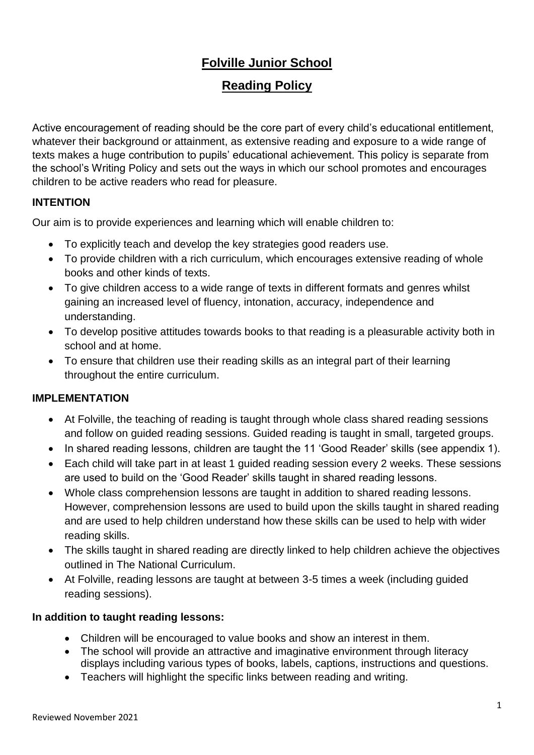# **Folville Junior School**

## **Reading Policy**

Active encouragement of reading should be the core part of every child's educational entitlement, whatever their background or attainment, as extensive reading and exposure to a wide range of texts makes a huge contribution to pupils' educational achievement. This policy is separate from the school's Writing Policy and sets out the ways in which our school promotes and encourages children to be active readers who read for pleasure.

### **INTENTION**

Our aim is to provide experiences and learning which will enable children to:

- To explicitly teach and develop the key strategies good readers use.
- To provide children with a rich curriculum, which encourages extensive reading of whole books and other kinds of texts.
- To give children access to a wide range of texts in different formats and genres whilst gaining an increased level of fluency, intonation, accuracy, independence and understanding.
- To develop positive attitudes towards books to that reading is a pleasurable activity both in school and at home.
- To ensure that children use their reading skills as an integral part of their learning throughout the entire curriculum.

## **IMPLEMENTATION**

- At Folville, the teaching of reading is taught through whole class shared reading sessions and follow on guided reading sessions. Guided reading is taught in small, targeted groups.
- In shared reading lessons, children are taught the 11 'Good Reader' skills (see appendix 1).
- Each child will take part in at least 1 guided reading session every 2 weeks. These sessions are used to build on the 'Good Reader' skills taught in shared reading lessons.
- Whole class comprehension lessons are taught in addition to shared reading lessons. However, comprehension lessons are used to build upon the skills taught in shared reading and are used to help children understand how these skills can be used to help with wider reading skills.
- The skills taught in shared reading are directly linked to help children achieve the objectives outlined in The National Curriculum.
- At Folville, reading lessons are taught at between 3-5 times a week (including guided reading sessions).

#### **In addition to taught reading lessons:**

- Children will be encouraged to value books and show an interest in them.
- The school will provide an attractive and imaginative environment through literacy displays including various types of books, labels, captions, instructions and questions.
- Teachers will highlight the specific links between reading and writing.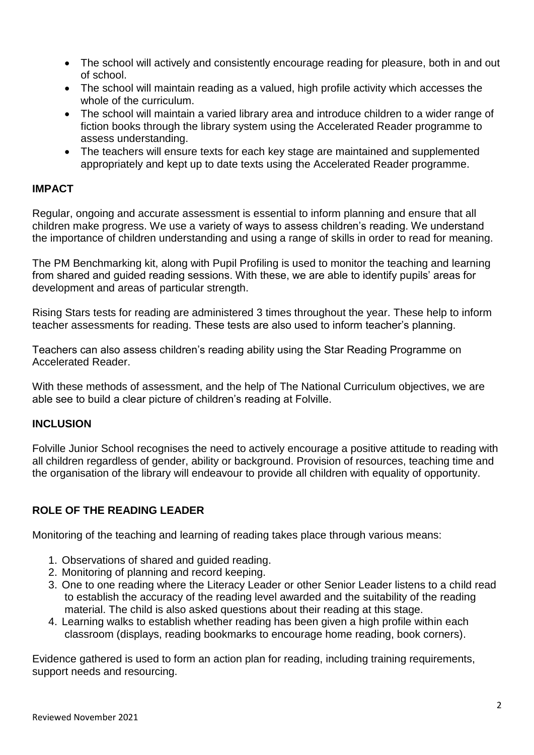- The school will actively and consistently encourage reading for pleasure, both in and out of school.
- The school will maintain reading as a valued, high profile activity which accesses the whole of the curriculum.
- The school will maintain a varied library area and introduce children to a wider range of fiction books through the library system using the Accelerated Reader programme to assess understanding.
- The teachers will ensure texts for each key stage are maintained and supplemented appropriately and kept up to date texts using the Accelerated Reader programme.

#### **IMPACT**

Regular, ongoing and accurate assessment is essential to inform planning and ensure that all children make progress. We use a variety of ways to assess children's reading. We understand the importance of children understanding and using a range of skills in order to read for meaning.

The PM Benchmarking kit, along with Pupil Profiling is used to monitor the teaching and learning from shared and guided reading sessions. With these, we are able to identify pupils' areas for development and areas of particular strength.

Rising Stars tests for reading are administered 3 times throughout the year. These help to inform teacher assessments for reading. These tests are also used to inform teacher's planning.

Teachers can also assess children's reading ability using the Star Reading Programme on Accelerated Reader.

With these methods of assessment, and the help of The National Curriculum objectives, we are able see to build a clear picture of children's reading at Folville.

#### **INCLUSION**

Folville Junior School recognises the need to actively encourage a positive attitude to reading with all children regardless of gender, ability or background. Provision of resources, teaching time and the organisation of the library will endeavour to provide all children with equality of opportunity.

#### **ROLE OF THE READING LEADER**

Monitoring of the teaching and learning of reading takes place through various means:

- 1. Observations of shared and guided reading.
- 2. Monitoring of planning and record keeping.
- 3. One to one reading where the Literacy Leader or other Senior Leader listens to a child read to establish the accuracy of the reading level awarded and the suitability of the reading material. The child is also asked questions about their reading at this stage.
- 4. Learning walks to establish whether reading has been given a high profile within each classroom (displays, reading bookmarks to encourage home reading, book corners).

Evidence gathered is used to form an action plan for reading, including training requirements, support needs and resourcing.